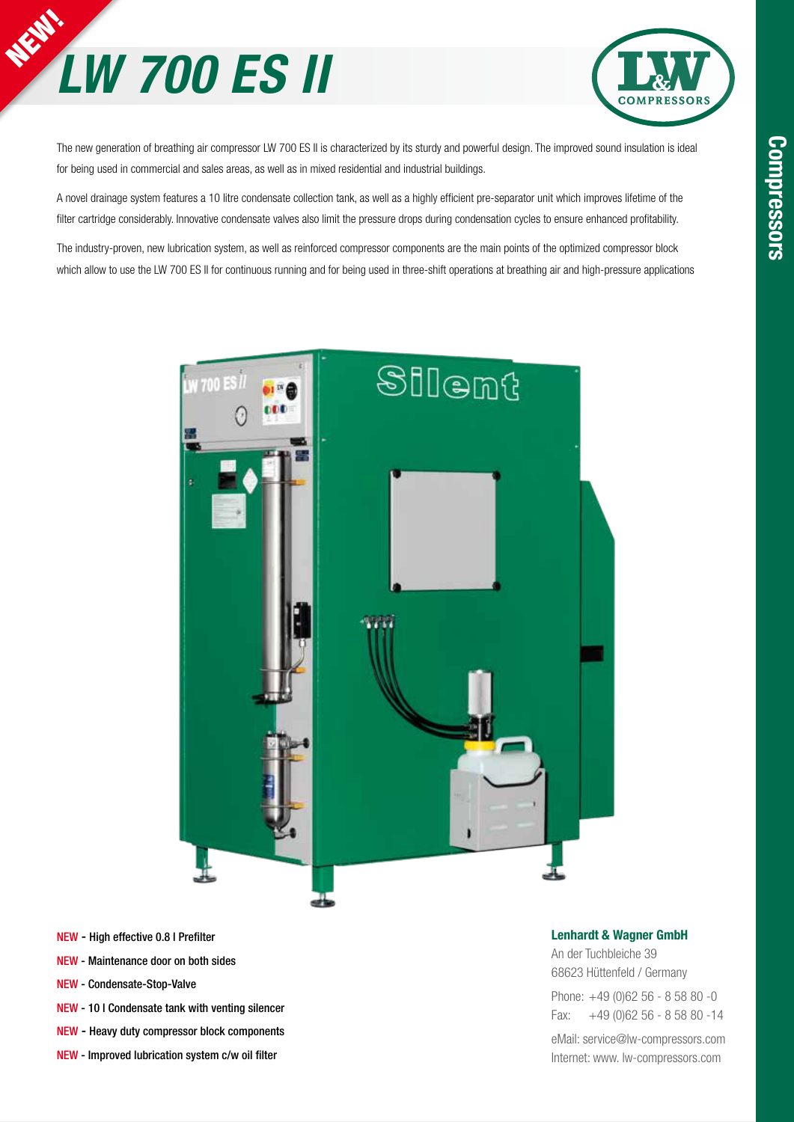



The new generation of breathing air compressor LW 700 ES II is characterized by its sturdy and powerful design. The improved sound insulation is ideal for being used in commercial and sales areas, as well as in mixed residential and industrial buildings.

A novel drainage system features a 10 litre condensate collection tank, as well as a highly efficient pre-separator unit which improves lifetime of the filter cartridge considerably. Innovative condensate valves also limit the pressure drops during condensation cycles to ensure enhanced profitability.

The industry-proven, new lubrication system, as well as reinforced compressor components are the main points of the optimized compressor block which allow to use the LW 700 ES II for continuous running and for being used in three-shift operations at breathing air and high-pressure applications



- NEW High effective 0.8 l Prefilter
- NEW Maintenance door on both sides
- NEW Condensate-Stop-Valve
- NEW 10 l Condensate tank with venting silencer
- NEW Heavy duty compressor block components
- NEW Improved lubrication system c/w oil filter

#### Lenhardt & Wagner GmbH

An der Tuchbleiche 39 68623 Hüttenfeld / Germany Phone: +49 (0)62 56 - 8 58 80 -0 Fax: +49 (0)62 56 - 8 58 80 -14

eMail: service@lw-compressors.com Internet: www. lw-compressors.com